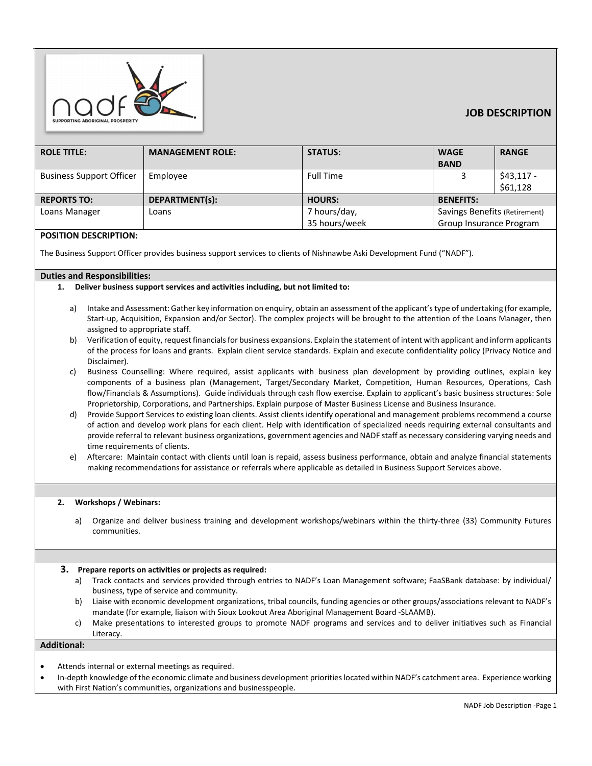

# **JOB DESCRIPTION**

| <b>ROLE TITLE:</b>              | <b>MANAGEMENT ROLE:</b> | <b>STATUS:</b>   | <b>WAGE</b>                   | <b>RANGE</b> |
|---------------------------------|-------------------------|------------------|-------------------------------|--------------|
|                                 |                         |                  | <b>BAND</b>                   |              |
| <b>Business Support Officer</b> | Employee                | <b>Full Time</b> | 3                             | $$43,117-$   |
|                                 |                         |                  |                               | \$61,128     |
| <b>REPORTS TO:</b>              | DEPARTMENT(s):          | <b>HOURS:</b>    | <b>BENEFITS:</b>              |              |
| Loans Manager                   | Loans                   | 7 hours/day,     | Savings Benefits (Retirement) |              |
|                                 |                         | 35 hours/week    | Group Insurance Program       |              |

## **POSITION DESCRIPTION:**

The Business Support Officer provides business support services to clients of Nishnawbe Aski Development Fund ("NADF").

### **Duties and Responsibilities:**

### **1. Deliver business support services and activities including, but not limited to:**

- a) Intake and Assessment: Gather key information on enquiry, obtain an assessment of the applicant's type of undertaking (for example, Start-up, Acquisition, Expansion and/or Sector). The complex projects will be brought to the attention of the Loans Manager, then assigned to appropriate staff.
- b) Verification of equity, request financials for business expansions. Explain the statement of intent with applicant and inform applicants of the process for loans and grants. Explain client service standards. Explain and execute confidentiality policy (Privacy Notice and Disclaimer).
- c) Business Counselling: Where required, assist applicants with business plan development by providing outlines, explain key components of a business plan (Management, Target/Secondary Market, Competition, Human Resources, Operations, Cash flow/Financials & Assumptions). Guide individuals through cash flow exercise. Explain to applicant's basic business structures: Sole Proprietorship, Corporations, and Partnerships. Explain purpose of Master Business License and Business Insurance.
- d) Provide Support Services to existing loan clients. Assist clients identify operational and management problems recommend a course of action and develop work plans for each client. Help with identification of specialized needs requiring external consultants and provide referral to relevant business organizations, government agencies and NADF staff as necessary considering varying needs and time requirements of clients.
- e) Aftercare: Maintain contact with clients until loan is repaid, assess business performance, obtain and analyze financial statements making recommendations for assistance or referrals where applicable as detailed in Business Support Services above.

### **2. Workshops / Webinars:**

a) Organize and deliver business training and development workshops/webinars within the thirty-three (33) Community Futures communities.

#### **3. Prepare reports on activities or projects as required:**

- a) Track contacts and services provided through entries to NADF's Loan Management software; FaaSBank database: by individual/ business, type of service and community.
- b) Liaise with economic development organizations, tribal councils, funding agencies or other groups/associations relevant to NADF's mandate (for example, liaison with Sioux Lookout Area Aboriginal Management Board -SLAAMB).
- c) Make presentations to interested groups to promote NADF programs and services and to deliver initiatives such as Financial Literacy.

## **Additional:**

- Attends internal or external meetings as required.
- In-depth knowledge of the economic climate and business development priorities located within NADF's catchment area. Experience working with First Nation's communities, organizations and businesspeople.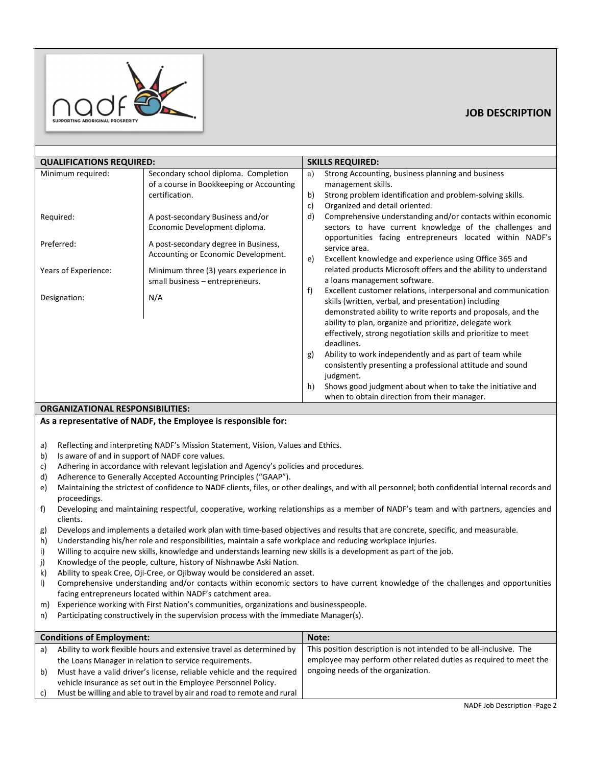

# **JOB DESCRIPTION**

| <b>QUALIFICATIONS REQUIRED:</b> |                                                                             | <b>SKILLS REQUIRED:</b> |                                                                                                                                      |  |  |  |
|---------------------------------|-----------------------------------------------------------------------------|-------------------------|--------------------------------------------------------------------------------------------------------------------------------------|--|--|--|
| Minimum required:               | Secondary school diploma. Completion                                        | a)                      | Strong Accounting, business planning and business                                                                                    |  |  |  |
|                                 | of a course in Bookkeeping or Accounting                                    |                         | management skills.                                                                                                                   |  |  |  |
|                                 | certification.                                                              | b)                      | Strong problem identification and problem-solving skills.                                                                            |  |  |  |
|                                 |                                                                             | c)                      | Organized and detail oriented.                                                                                                       |  |  |  |
| Required:                       | A post-secondary Business and/or                                            | d)                      | Comprehensive understanding and/or contacts within economic                                                                          |  |  |  |
|                                 | Economic Development diploma.                                               |                         | sectors to have current knowledge of the challenges and                                                                              |  |  |  |
| Preferred:                      | A post-secondary degree in Business,<br>Accounting or Economic Development. | e)                      | opportunities facing entrepreneurs located within NADF's<br>service area.<br>Excellent knowledge and experience using Office 365 and |  |  |  |
| Years of Experience:            | Minimum three (3) years experience in                                       |                         | related products Microsoft offers and the ability to understand                                                                      |  |  |  |
|                                 | small business - entrepreneurs.                                             |                         | a loans management software.                                                                                                         |  |  |  |
| Designation:                    | N/A                                                                         | f)                      | Excellent customer relations, interpersonal and communication<br>skills (written, verbal, and presentation) including                |  |  |  |
|                                 |                                                                             |                         | demonstrated ability to write reports and proposals, and the                                                                         |  |  |  |
|                                 |                                                                             |                         | ability to plan, organize and prioritize, delegate work                                                                              |  |  |  |
|                                 |                                                                             |                         | effectively, strong negotiation skills and prioritize to meet                                                                        |  |  |  |
|                                 |                                                                             |                         | deadlines.                                                                                                                           |  |  |  |
|                                 |                                                                             | g)                      | Ability to work independently and as part of team while                                                                              |  |  |  |
|                                 |                                                                             |                         | consistently presenting a professional attitude and sound                                                                            |  |  |  |
|                                 |                                                                             |                         | judgment.                                                                                                                            |  |  |  |
|                                 |                                                                             | h)                      | Shows good judgment about when to take the initiative and<br>when to obtain direction from their manager.                            |  |  |  |

## **ORGANIZATIONAL RESPONSIBILITIES:**

## **As a representative of NADF, the Employee is responsible for:**

- a) Reflecting and interpreting NADF's Mission Statement, Vision, Values and Ethics.
- b) Is aware of and in support of NADF core values.
- c) Adhering in accordance with relevant legislation and Agency's policies and procedures.
- d) Adherence to Generally Accepted Accounting Principles ("GAAP").
- e) Maintaining the strictest of confidence to NADF clients, files, or other dealings, and with all personnel; both confidential internal records and proceedings.
- f) Developing and maintaining respectful, cooperative, working relationships as a member of NADF's team and with partners, agencies and clients.
- g) Develops and implements a detailed work plan with time-based objectives and results that are concrete, specific, and measurable.
- h) Understanding his/her role and responsibilities, maintain a safe workplace and reducing workplace injuries.
- i) Willing to acquire new skills, knowledge and understands learning new skills is a development as part of the job.
- j) Knowledge of the people, culture, history of Nishnawbe Aski Nation.
- k) Ability to speak Cree, Oji-Cree, or Ojibway would be considered an asset.
- l) Comprehensive understanding and/or contacts within economic sectors to have current knowledge of the challenges and opportunities facing entrepreneurs located within NADF's catchment area.
- m) Experience working with First Nation's communities, organizations and businesspeople.
- n) Participating constructively in the supervision process with the immediate Manager(s).

| <b>Conditions of Employment:</b> |                                                                        | Note:                                                              |  |
|----------------------------------|------------------------------------------------------------------------|--------------------------------------------------------------------|--|
| a)                               | Ability to work flexible hours and extensive travel as determined by   | This position description is not intended to be all-inclusive. The |  |
|                                  | the Loans Manager in relation to service requirements.                 | employee may perform other related duties as required to meet the  |  |
| b)                               | Must have a valid driver's license, reliable vehicle and the required  | ongoing needs of the organization.                                 |  |
|                                  | vehicle insurance as set out in the Employee Personnel Policy.         |                                                                    |  |
| c)                               | Must be willing and able to travel by air and road to remote and rural |                                                                    |  |